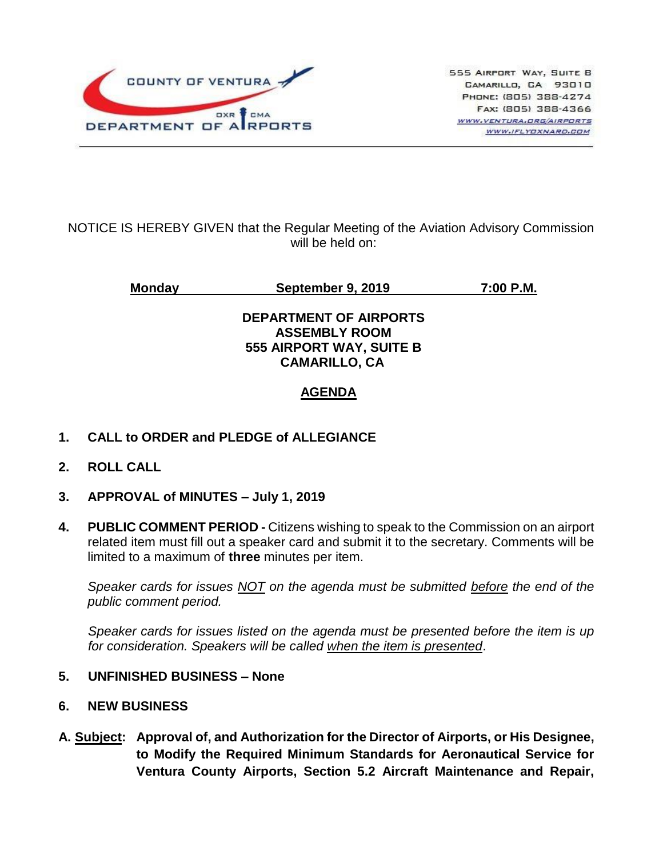

## NOTICE IS HEREBY GIVEN that the Regular Meeting of the Aviation Advisory Commission will be held on:

**Monday September 9, 2019 7:00 P.M.**

## **DEPARTMENT OF AIRPORTS ASSEMBLY ROOM 555 AIRPORT WAY, SUITE B CAMARILLO, CA**

# **AGENDA**

- **1. CALL to ORDER and PLEDGE of ALLEGIANCE**
- **2. ROLL CALL**
- **3. APPROVAL of MINUTES – July 1, 2019**
- **4. PUBLIC COMMENT PERIOD -** Citizens wishing to speak to the Commission on an airport related item must fill out a speaker card and submit it to the secretary. Comments will be limited to a maximum of **three** minutes per item.

*Speaker cards for issues NOT on the agenda must be submitted before the end of the public comment period.*

*Speaker cards for issues listed on the agenda must be presented before the item is up for consideration. Speakers will be called when the item is presented*.

#### **5. UNFINISHED BUSINESS – None**

- **6. NEW BUSINESS**
- **A. Subject: Approval of, and Authorization for the Director of Airports, or His Designee, to Modify the Required Minimum Standards for Aeronautical Service for Ventura County Airports, Section 5.2 Aircraft Maintenance and Repair,**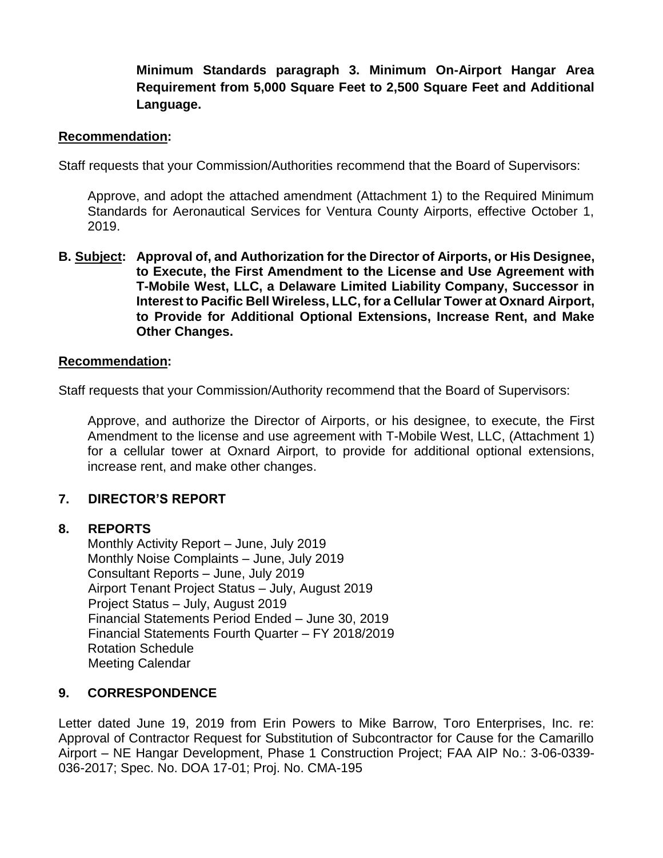## **Minimum Standards paragraph 3. Minimum On-Airport Hangar Area Requirement from 5,000 Square Feet to 2,500 Square Feet and Additional Language.**

#### **Recommendation:**

Staff requests that your Commission/Authorities recommend that the Board of Supervisors:

Approve, and adopt the attached amendment (Attachment 1) to the Required Minimum Standards for Aeronautical Services for Ventura County Airports, effective October 1, 2019.

**B. Subject: Approval of, and Authorization for the Director of Airports, or His Designee, to Execute, the First Amendment to the License and Use Agreement with T-Mobile West, LLC, a Delaware Limited Liability Company, Successor in Interest to Pacific Bell Wireless, LLC, for a Cellular Tower at Oxnard Airport, to Provide for Additional Optional Extensions, Increase Rent, and Make Other Changes.**

#### **Recommendation:**

Staff requests that your Commission/Authority recommend that the Board of Supervisors:

Approve, and authorize the Director of Airports, or his designee, to execute, the First Amendment to the license and use agreement with T-Mobile West, LLC, (Attachment 1) for a cellular tower at Oxnard Airport, to provide for additional optional extensions, increase rent, and make other changes.

#### **7. DIRECTOR'S REPORT**

#### **8. REPORTS**

Monthly Activity Report – June, July 2019 Monthly Noise Complaints – June, July 2019 Consultant Reports – June, July 2019 Airport Tenant Project Status – July, August 2019 Project Status – July, August 2019 Financial Statements Period Ended – June 30, 2019 Financial Statements Fourth Quarter – FY 2018/2019 Rotation Schedule Meeting Calendar

#### **9. CORRESPONDENCE**

Letter dated June 19, 2019 from Erin Powers to Mike Barrow, Toro Enterprises, Inc. re: Approval of Contractor Request for Substitution of Subcontractor for Cause for the Camarillo Airport – NE Hangar Development, Phase 1 Construction Project; FAA AIP No.: 3-06-0339- 036-2017; Spec. No. DOA 17-01; Proj. No. CMA-195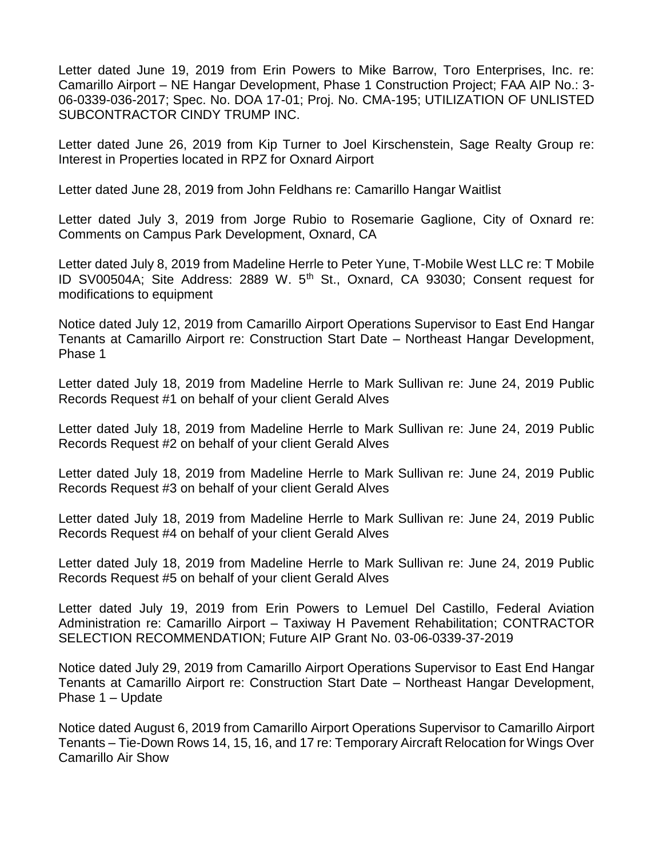Letter dated June 19, 2019 from Erin Powers to Mike Barrow, Toro Enterprises, Inc. re: Camarillo Airport – NE Hangar Development, Phase 1 Construction Project; FAA AIP No.: 3- 06-0339-036-2017; Spec. No. DOA 17-01; Proj. No. CMA-195; UTILIZATION OF UNLISTED SUBCONTRACTOR CINDY TRUMP INC.

Letter dated June 26, 2019 from Kip Turner to Joel Kirschenstein, Sage Realty Group re: Interest in Properties located in RPZ for Oxnard Airport

Letter dated June 28, 2019 from John Feldhans re: Camarillo Hangar Waitlist

Letter dated July 3, 2019 from Jorge Rubio to Rosemarie Gaglione, City of Oxnard re: Comments on Campus Park Development, Oxnard, CA

Letter dated July 8, 2019 from Madeline Herrle to Peter Yune, T-Mobile West LLC re: T Mobile ID SV00504A; Site Address: 2889 W. 5<sup>th</sup> St., Oxnard, CA 93030; Consent request for modifications to equipment

Notice dated July 12, 2019 from Camarillo Airport Operations Supervisor to East End Hangar Tenants at Camarillo Airport re: Construction Start Date – Northeast Hangar Development, Phase 1

Letter dated July 18, 2019 from Madeline Herrle to Mark Sullivan re: June 24, 2019 Public Records Request #1 on behalf of your client Gerald Alves

Letter dated July 18, 2019 from Madeline Herrle to Mark Sullivan re: June 24, 2019 Public Records Request #2 on behalf of your client Gerald Alves

Letter dated July 18, 2019 from Madeline Herrle to Mark Sullivan re: June 24, 2019 Public Records Request #3 on behalf of your client Gerald Alves

Letter dated July 18, 2019 from Madeline Herrle to Mark Sullivan re: June 24, 2019 Public Records Request #4 on behalf of your client Gerald Alves

Letter dated July 18, 2019 from Madeline Herrle to Mark Sullivan re: June 24, 2019 Public Records Request #5 on behalf of your client Gerald Alves

Letter dated July 19, 2019 from Erin Powers to Lemuel Del Castillo, Federal Aviation Administration re: Camarillo Airport – Taxiway H Pavement Rehabilitation; CONTRACTOR SELECTION RECOMMENDATION; Future AIP Grant No. 03-06-0339-37-2019

Notice dated July 29, 2019 from Camarillo Airport Operations Supervisor to East End Hangar Tenants at Camarillo Airport re: Construction Start Date – Northeast Hangar Development, Phase 1 – Update

Notice dated August 6, 2019 from Camarillo Airport Operations Supervisor to Camarillo Airport Tenants – Tie-Down Rows 14, 15, 16, and 17 re: Temporary Aircraft Relocation for Wings Over Camarillo Air Show